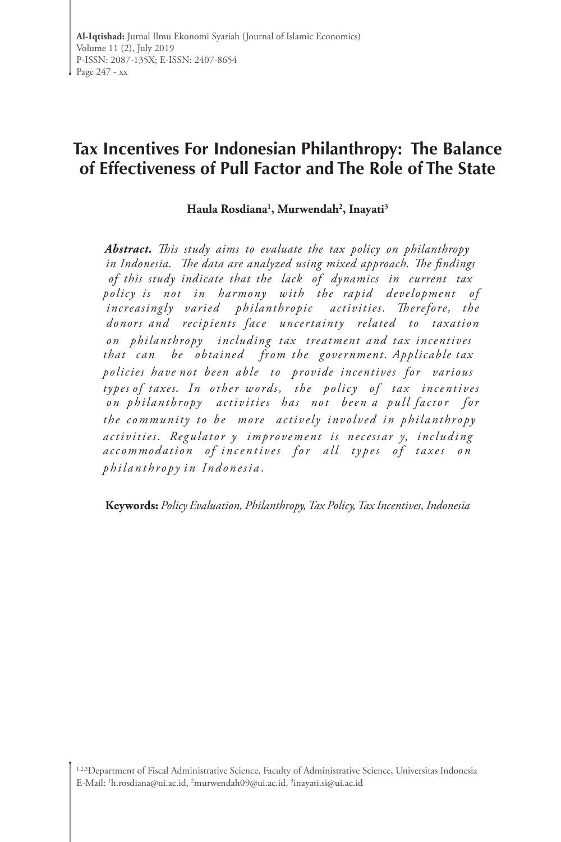# **Tax Incentives For Indonesian Philanthropy: The Balance of Effectiveness of Pull Factor and The Role of The State**

## **Haula Rosdiana1 , Murwendah2 , Inayati3**

*Abstract. This study aims to evaluate the tax policy on philanthropy in Indonesia. The data are analyzed using mixed approach. The findings of this study indicate that the lack of dynamics in current tax policy is not in harmony with the rapid development of increasingly varied philanthropic activities. Therefore, the donors and recipients face uncertainty related to taxation on philanthropy including tax treatment and tax incentives that can be obtained from the government. Applicable tax policies have not been able to provide incentives for various types of taxes. In other words, the policy of tax incentives on philanthropy activities has not been a pull factor for the community to be more actively involved in philanthropy activities. Regulator y improvement is necessar y, including*  accommodation of incentives for all types of taxes on *p h i l a n t h ro py i n In d o n e s i a .*

**Keywords:** *Policy Evaluation, Philanthropy, Tax Policy, Tax Incentives, Indonesia*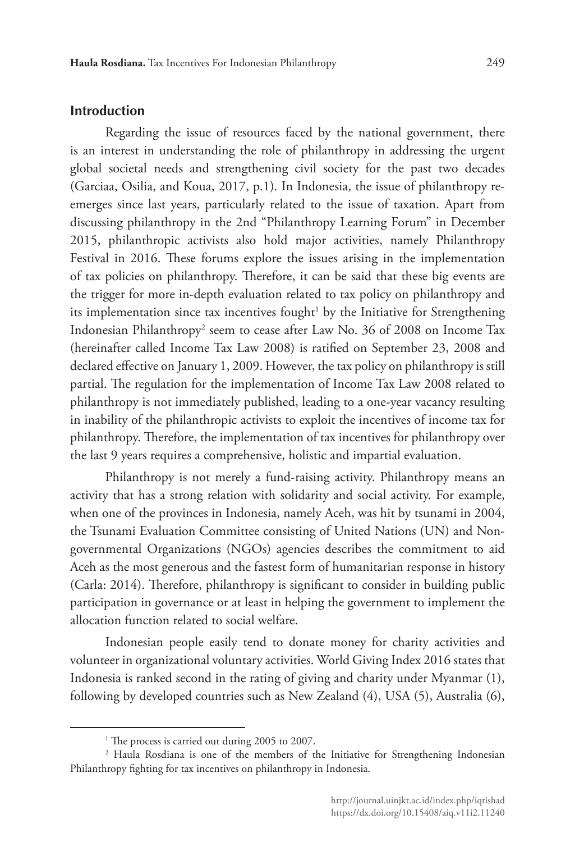#### **Introduction**

Regarding the issue of resources faced by the national government, there is an interest in understanding the role of philanthropy in addressing the urgent global societal needs and strengthening civil society for the past two decades (Garciaa, Osilia, and Koua, 2017, p.1)*.* In Indonesia, the issue of philanthropy reemerges since last years, particularly related to the issue of taxation. Apart from discussing philanthropy in the 2nd "Philanthropy Learning Forum" in December 2015, philanthropic activists also hold major activities, namely Philanthropy Festival in 2016. These forums explore the issues arising in the implementation of tax policies on philanthropy. Therefore, it can be said that these big events are the trigger for more in-depth evaluation related to tax policy on philanthropy and its implementation since tax incentives fought<sup>1</sup> by the Initiative for Strengthening Indonesian Philanthropy<sup>2</sup> seem to cease after Law No. 36 of 2008 on Income Tax (hereinafter called Income Tax Law 2008) is ratified on September 23, 2008 and declared effective on January 1, 2009. However, the tax policy on philanthropy is still partial. The regulation for the implementation of Income Tax Law 2008 related to philanthropy is not immediately published, leading to a one-year vacancy resulting in inability of the philanthropic activists to exploit the incentives of income tax for philanthropy. Therefore, the implementation of tax incentives for philanthropy over the last 9 years requires a comprehensive, holistic and impartial evaluation.

Philanthropy is not merely a fund-raising activity. Philanthropy means an activity that has a strong relation with solidarity and social activity. For example, when one of the provinces in Indonesia, namely Aceh, was hit by tsunami in 2004, the Tsunami Evaluation Committee consisting of United Nations (UN) and Nongovernmental Organizations (NGOs) agencies describes the commitment to aid Aceh as the most generous and the fastest form of humanitarian response in history (Carla: 2014). Therefore, philanthropy is significant to consider in building public participation in governance or at least in helping the government to implement the allocation function related to social welfare.

Indonesian people easily tend to donate money for charity activities and volunteer in organizational voluntary activities. World Giving Index 2016 states that Indonesia is ranked second in the rating of giving and charity under Myanmar (1), following by developed countries such as New Zealand (4), USA (5), Australia (6),

<sup>&</sup>lt;sup>1</sup> The process is carried out during 2005 to 2007.

<sup>2</sup> Haula Rosdiana is one of the members of the Initiative for Strengthening Indonesian Philanthropy fighting for tax incentives on philanthropy in Indonesia.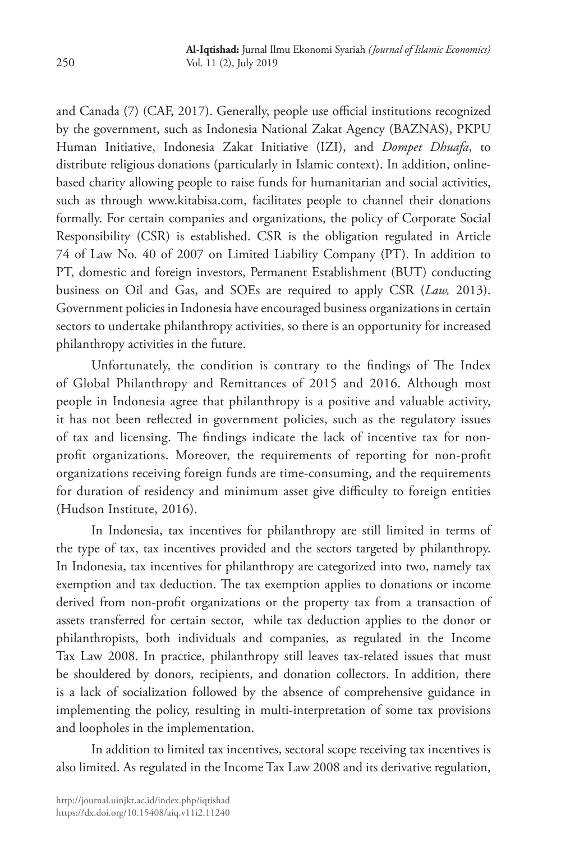and Canada (7) (CAF, 2017). Generally, people use official institutions recognized by the government, such as Indonesia National Zakat Agency (BAZNAS), PKPU Human Initiative, Indonesia Zakat Initiative (IZI), and *Dompet Dhuafa*, to distribute religious donations (particularly in Islamic context). In addition, onlinebased charity allowing people to raise funds for humanitarian and social activities, such as through www.kitabisa.com, facilitates people to channel their donations formally. For certain companies and organizations, the policy of Corporate Social Responsibility (CSR) is established. CSR is the obligation regulated in Article 74 of Law No. 40 of 2007 on Limited Liability Company (PT). In addition to PT, domestic and foreign investors, Permanent Establishment (BUT) conducting business on Oil and Gas, and SOEs are required to apply CSR (*Law,* 2013). Government policies in Indonesia have encouraged business organizations in certain sectors to undertake philanthropy activities, so there is an opportunity for increased philanthropy activities in the future.

Unfortunately, the condition is contrary to the findings of The Index of Global Philanthropy and Remittances of 2015 and 2016. Although most people in Indonesia agree that philanthropy is a positive and valuable activity, it has not been reflected in government policies, such as the regulatory issues of tax and licensing. The findings indicate the lack of incentive tax for nonprofit organizations. Moreover, the requirements of reporting for non-profit organizations receiving foreign funds are time-consuming, and the requirements for duration of residency and minimum asset give difficulty to foreign entities (Hudson Institute, 2016).

In Indonesia, tax incentives for philanthropy are still limited in terms of the type of tax, tax incentives provided and the sectors targeted by philanthropy. In Indonesia, tax incentives for philanthropy are categorized into two, namely tax exemption and tax deduction. The tax exemption applies to donations or income derived from non-profit organizations or the property tax from a transaction of assets transferred for certain sector, while tax deduction applies to the donor or philanthropists, both individuals and companies, as regulated in the Income Tax Law 2008. In practice, philanthropy still leaves tax-related issues that must be shouldered by donors, recipients, and donation collectors. In addition, there is a lack of socialization followed by the absence of comprehensive guidance in implementing the policy, resulting in multi-interpretation of some tax provisions and loopholes in the implementation.

In addition to limited tax incentives, sectoral scope receiving tax incentives is also limited. As regulated in the Income Tax Law 2008 and its derivative regulation,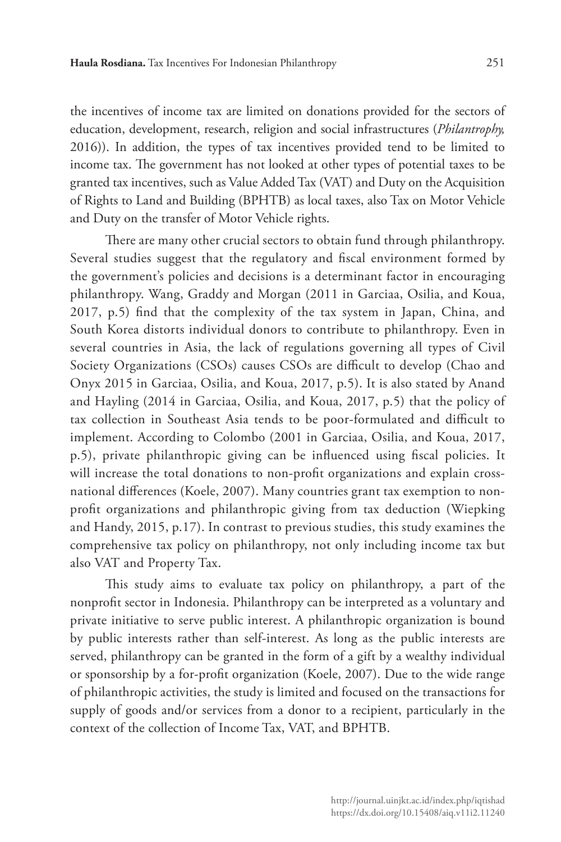the incentives of income tax are limited on donations provided for the sectors of education, development, research, religion and social infrastructures (*Philantrophy,*  2016)). In addition, the types of tax incentives provided tend to be limited to income tax. The government has not looked at other types of potential taxes to be granted tax incentives, such as Value Added Tax (VAT) and Duty on the Acquisition of Rights to Land and Building (BPHTB) as local taxes, also Tax on Motor Vehicle and Duty on the transfer of Motor Vehicle rights.

There are many other crucial sectors to obtain fund through philanthropy. Several studies suggest that the regulatory and fiscal environment formed by the government's policies and decisions is a determinant factor in encouraging philanthropy. Wang, Graddy and Morgan (2011 in Garciaa, Osilia, and Koua, 2017, p.5) find that the complexity of the tax system in Japan, China, and South Korea distorts individual donors to contribute to philanthropy. Even in several countries in Asia, the lack of regulations governing all types of Civil Society Organizations (CSOs) causes CSOs are difficult to develop (Chao and Onyx 2015 in Garciaa, Osilia, and Koua, 2017, p.5). It is also stated by Anand and Hayling (2014 in Garciaa, Osilia, and Koua, 2017, p.5) that the policy of tax collection in Southeast Asia tends to be poor-formulated and difficult to implement. According to Colombo (2001 in Garciaa, Osilia, and Koua, 2017, p.5), private philanthropic giving can be influenced using fiscal policies. It will increase the total donations to non-profit organizations and explain crossnational differences (Koele, 2007). Many countries grant tax exemption to nonprofit organizations and philanthropic giving from tax deduction (Wiepking and Handy, 2015, p.17). In contrast to previous studies, this study examines the comprehensive tax policy on philanthropy, not only including income tax but also VAT and Property Tax.

This study aims to evaluate tax policy on philanthropy, a part of the nonprofit sector in Indonesia. Philanthropy can be interpreted as a voluntary and private initiative to serve public interest. A philanthropic organization is bound by public interests rather than self-interest. As long as the public interests are served, philanthropy can be granted in the form of a gift by a wealthy individual or sponsorship by a for-profit organization (Koele, 2007). Due to the wide range of philanthropic activities, the study is limited and focused on the transactions for supply of goods and/or services from a donor to a recipient, particularly in the context of the collection of Income Tax, VAT, and BPHTB.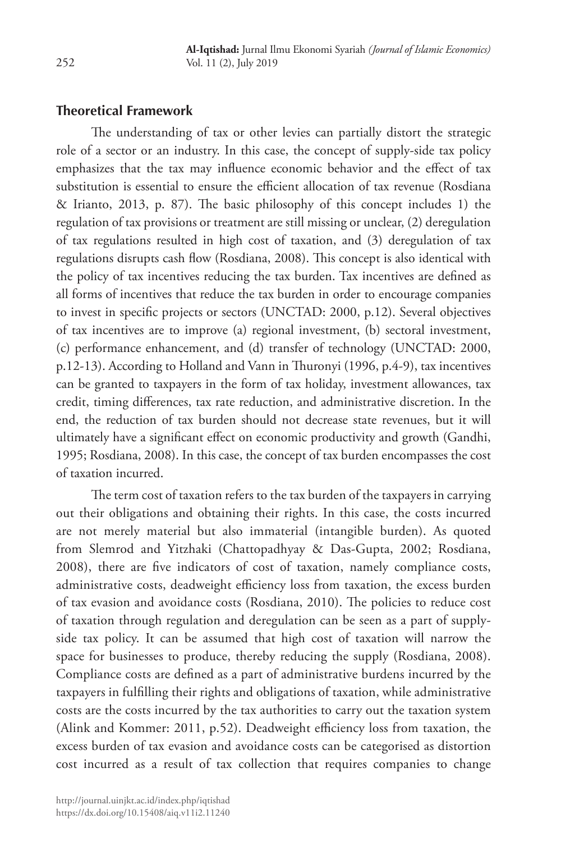## **Theoretical Framework**

The understanding of tax or other levies can partially distort the strategic role of a sector or an industry. In this case, the concept of supply-side tax policy emphasizes that the tax may influence economic behavior and the effect of tax substitution is essential to ensure the efficient allocation of tax revenue (Rosdiana & Irianto, 2013, p. 87). The basic philosophy of this concept includes 1) the regulation of tax provisions or treatment are still missing or unclear, (2) deregulation of tax regulations resulted in high cost of taxation, and (3) deregulation of tax regulations disrupts cash flow (Rosdiana, 2008). This concept is also identical with the policy of tax incentives reducing the tax burden. Tax incentives are defined as all forms of incentives that reduce the tax burden in order to encourage companies to invest in specific projects or sectors (UNCTAD: 2000, p.12). Several objectives of tax incentives are to improve (a) regional investment, (b) sectoral investment, (c) performance enhancement, and (d) transfer of technology (UNCTAD: 2000, p.12-13). According to Holland and Vann in Thuronyi (1996, p.4-9), tax incentives can be granted to taxpayers in the form of tax holiday, investment allowances, tax credit, timing differences, tax rate reduction, and administrative discretion. In the end, the reduction of tax burden should not decrease state revenues, but it will ultimately have a significant effect on economic productivity and growth (Gandhi, 1995; Rosdiana, 2008). In this case, the concept of tax burden encompasses the cost of taxation incurred.

The term cost of taxation refers to the tax burden of the taxpayers in carrying out their obligations and obtaining their rights. In this case, the costs incurred are not merely material but also immaterial (intangible burden). As quoted from Slemrod and Yitzhaki (Chattopadhyay & Das-Gupta, 2002; Rosdiana, 2008), there are five indicators of cost of taxation, namely compliance costs, administrative costs, deadweight efficiency loss from taxation, the excess burden of tax evasion and avoidance costs (Rosdiana, 2010). The policies to reduce cost of taxation through regulation and deregulation can be seen as a part of supplyside tax policy. It can be assumed that high cost of taxation will narrow the space for businesses to produce, thereby reducing the supply (Rosdiana, 2008). Compliance costs are defined as a part of administrative burdens incurred by the taxpayers in fulfilling their rights and obligations of taxation, while administrative costs are the costs incurred by the tax authorities to carry out the taxation system (Alink and Kommer: 2011, p.52). Deadweight efficiency loss from taxation, the excess burden of tax evasion and avoidance costs can be categorised as distortion cost incurred as a result of tax collection that requires companies to change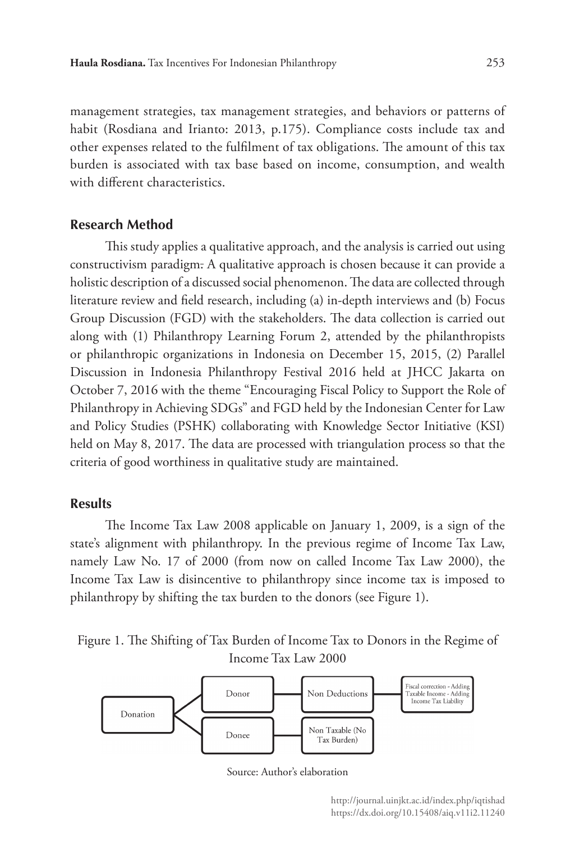management strategies, tax management strategies, and behaviors or patterns of habit (Rosdiana and Irianto: 2013, p.175). Compliance costs include tax and other expenses related to the fulfilment of tax obligations. The amount of this tax burden is associated with tax base based on income, consumption, and wealth with different characteristics.

#### **Research Method**

This study applies a qualitative approach, and the analysis is carried out using constructivism paradigm. A qualitative approach is chosen because it can provide a holistic description of a discussed social phenomenon. The data are collected through literature review and field research, including (a) in-depth interviews and (b) Focus Group Discussion (FGD) with the stakeholders. The data collection is carried out along with (1) Philanthropy Learning Forum 2, attended by the philanthropists or philanthropic organizations in Indonesia on December 15, 2015, (2) Parallel Discussion in Indonesia Philanthropy Festival 2016 held at JHCC Jakarta on October 7, 2016 with the theme "Encouraging Fiscal Policy to Support the Role of Philanthropy in Achieving SDGs" and FGD held by the Indonesian Center for Law and Policy Studies (PSHK) collaborating with Knowledge Sector Initiative (KSI) held on May 8, 2017. The data are processed with triangulation process so that the criteria of good worthiness in qualitative study are maintained.

#### **Results**

The Income Tax Law 2008 applicable on January 1, 2009, is a sign of the state's alignment with philanthropy. In the previous regime of Income Tax Law, namely Law No. 17 of 2000 (from now on called Income Tax Law 2000), the Income Tax Law is disincentive to philanthropy since income tax is imposed to philanthropy by shifting the tax burden to the donors (see Figure 1).





Source: Author's elaboration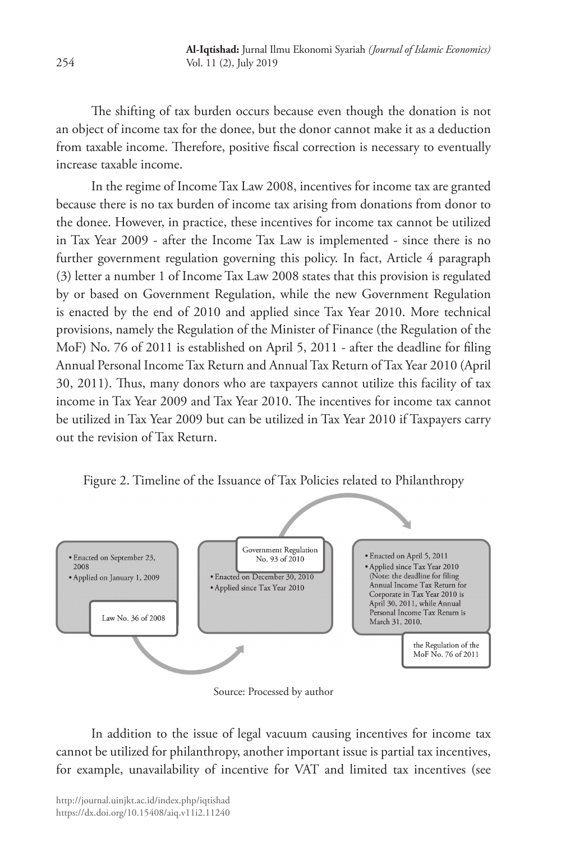The shifting of tax burden occurs because even though the donation is not an object of income tax for the donee, but the donor cannot make it as a deduction from taxable income. Therefore, positive fiscal correction is necessary to eventually increase taxable income.

In the regime of Income Tax Law 2008, incentives for income tax are granted because there is no tax burden of income tax arising from donations from donor to the donee. However, in practice, these incentives for income tax cannot be utilized in Tax Year 2009 - after the Income Tax Law is implemented - since there is no further government regulation governing this policy. In fact, Article 4 paragraph (3) letter a number 1 of Income Tax Law 2008 states that this provision is regulated by or based on Government Regulation, while the new Government Regulation is enacted by the end of 2010 and applied since Tax Year 2010. More technical provisions, namely the Regulation of the Minister of Finance (the Regulation of the MoF) No. 76 of 2011 is established on April 5, 2011 - after the deadline for filing Annual Personal Income Tax Return and Annual Tax Return of Tax Year 2010 (April 30, 2011). Thus, many donors who are taxpayers cannot utilize this facility of tax income in Tax Year 2009 and Tax Year 2010. The incentives for income tax cannot be utilized in Tax Year 2009 but can be utilized in Tax Year 2010 if Taxpayers carry out the revision of Tax Return.

Figure 2. Timeline of the Issuance of Tax Policies related to Philanthropy



Source: Processed by author

In addition to the issue of legal vacuum causing incentives for income tax cannot be utilized for philanthropy, another important issue is partial tax incentives, for example, unavailability of incentive for VAT and limited tax incentives (see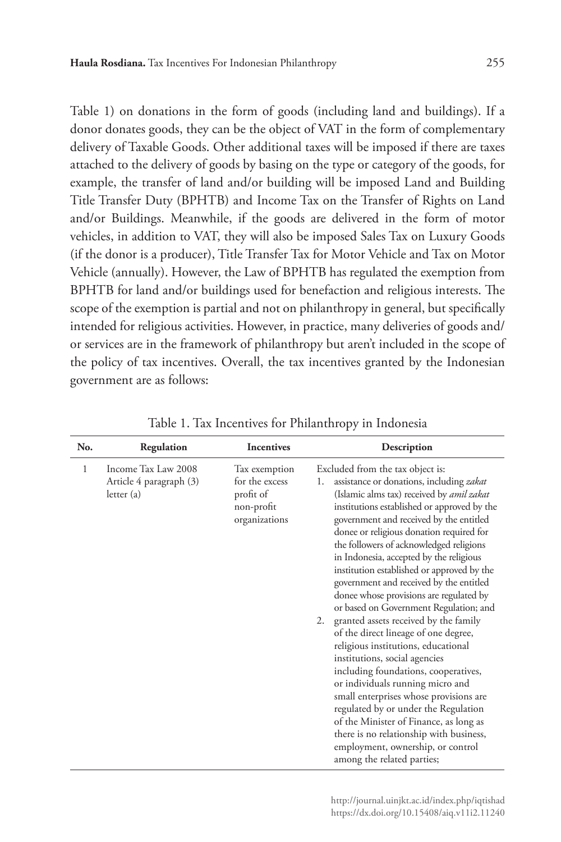Table 1) on donations in the form of goods (including land and buildings). If a donor donates goods, they can be the object of VAT in the form of complementary delivery of Taxable Goods. Other additional taxes will be imposed if there are taxes attached to the delivery of goods by basing on the type or category of the goods, for example, the transfer of land and/or building will be imposed Land and Building Title Transfer Duty (BPHTB) and Income Tax on the Transfer of Rights on Land and/or Buildings. Meanwhile, if the goods are delivered in the form of motor vehicles, in addition to VAT, they will also be imposed Sales Tax on Luxury Goods (if the donor is a producer), Title Transfer Tax for Motor Vehicle and Tax on Motor Vehicle (annually). However, the Law of BPHTB has regulated the exemption from BPHTB for land and/or buildings used for benefaction and religious interests. The scope of the exemption is partial and not on philanthropy in general, but specifically intended for religious activities. However, in practice, many deliveries of goods and/ or services are in the framework of philanthropy but aren't included in the scope of the policy of tax incentives. Overall, the tax incentives granted by the Indonesian government are as follows:

| No. | Regulation                                                  | <b>Incentives</b>                                                           | Description                                                                                                                                                                                                                                                                                                                                                                                                                                                                                                                                                                                                                                                                                                                                                                                                                                                                                                                                                                                                                           |
|-----|-------------------------------------------------------------|-----------------------------------------------------------------------------|---------------------------------------------------------------------------------------------------------------------------------------------------------------------------------------------------------------------------------------------------------------------------------------------------------------------------------------------------------------------------------------------------------------------------------------------------------------------------------------------------------------------------------------------------------------------------------------------------------------------------------------------------------------------------------------------------------------------------------------------------------------------------------------------------------------------------------------------------------------------------------------------------------------------------------------------------------------------------------------------------------------------------------------|
| 1   | Income Tax Law 2008<br>Article 4 paragraph (3)<br>letter(a) | Tax exemption<br>for the excess<br>profit of<br>non-profit<br>organizations | Excluded from the tax object is:<br>assistance or donations, including zakat<br>1.<br>(Islamic alms tax) received by <i>amil zakat</i><br>institutions established or approved by the<br>government and received by the entitled<br>donee or religious donation required for<br>the followers of acknowledged religions<br>in Indonesia, accepted by the religious<br>institution established or approved by the<br>government and received by the entitled<br>donee whose provisions are regulated by<br>or based on Government Regulation; and<br>granted assets received by the family<br>2.<br>of the direct lineage of one degree,<br>religious institutions, educational<br>institutions, social agencies<br>including foundations, cooperatives,<br>or individuals running micro and<br>small enterprises whose provisions are<br>regulated by or under the Regulation<br>of the Minister of Finance, as long as<br>there is no relationship with business,<br>employment, ownership, or control<br>among the related parties; |

Table 1. Tax Incentives for Philanthropy in Indonesia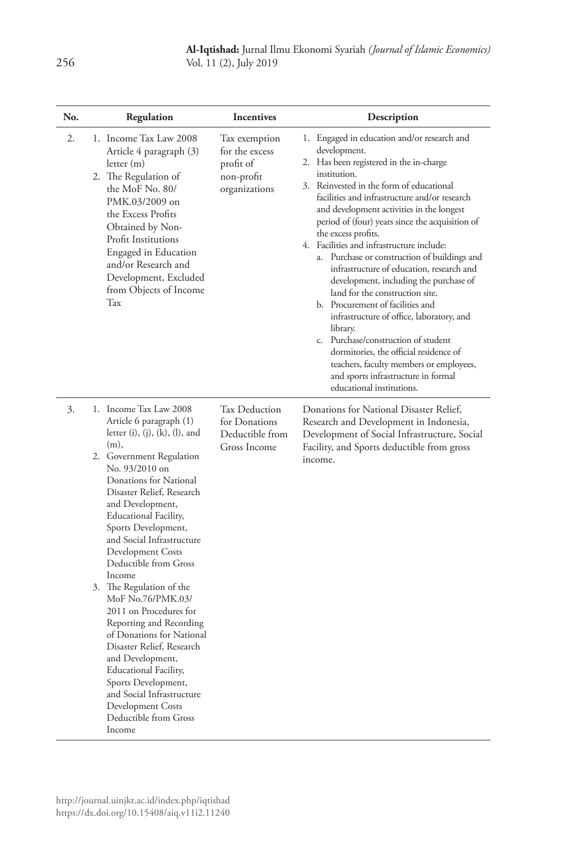| No. | Regulation                                                                                                                                                                                                                                                                                                                                                                                                                                                                                                                                                                                                                                                                                     | <b>Incentives</b>                                                           | Description                                                                                                                                                                                                                                                                                                                                                                                                                                                                                                                                                                                                                                                                                                                                                                                                                                                    |
|-----|------------------------------------------------------------------------------------------------------------------------------------------------------------------------------------------------------------------------------------------------------------------------------------------------------------------------------------------------------------------------------------------------------------------------------------------------------------------------------------------------------------------------------------------------------------------------------------------------------------------------------------------------------------------------------------------------|-----------------------------------------------------------------------------|----------------------------------------------------------------------------------------------------------------------------------------------------------------------------------------------------------------------------------------------------------------------------------------------------------------------------------------------------------------------------------------------------------------------------------------------------------------------------------------------------------------------------------------------------------------------------------------------------------------------------------------------------------------------------------------------------------------------------------------------------------------------------------------------------------------------------------------------------------------|
| 2.  | 1. Income Tax Law 2008<br>Article 4 paragraph (3)<br>letter(m)<br>2. The Regulation of<br>the MoF No. 80/<br>PMK.03/2009 on<br>the Excess Profits<br>Obtained by Non-<br>Profit Institutions<br>Engaged in Education<br>and/or Research and<br>Development, Excluded<br>from Objects of Income<br>Tax                                                                                                                                                                                                                                                                                                                                                                                          | Tax exemption<br>for the excess<br>profit of<br>non-profit<br>organizations | 1. Engaged in education and/or research and<br>development.<br>2. Has been registered in the in-charge<br>institution.<br>3. Reinvested in the form of educational<br>facilities and infrastructure and/or research<br>and development activities in the longest<br>period of (four) years since the acquisition of<br>the excess profits.<br>4. Facilities and infrastructure include:<br>a. Purchase or construction of buildings and<br>infrastructure of education, research and<br>development, including the purchase of<br>land for the construction site.<br>b. Procurement of facilities and<br>infrastructure of office, laboratory, and<br>library.<br>c. Purchase/construction of student<br>dormitories, the official residence of<br>teachers, faculty members or employees,<br>and sports infrastructure in formal<br>educational institutions. |
| 3.  | 1. Income Tax Law 2008<br>Article 6 paragraph (1)<br>letter $(i)$ , $(j)$ , $(k)$ , $(l)$ , and<br>(m),<br>2. Government Regulation<br>No. 93/2010 on<br>Donations for National<br>Disaster Relief, Research<br>and Development,<br>Educational Facility,<br>Sports Development,<br>and Social Infrastructure<br>Development Costs<br>Deductible from Gross<br>Income<br>3. The Regulation of the<br>MoF No.76/PMK.03/<br>2011 on Procedures for<br>Reporting and Recording<br>of Donations for National<br>Disaster Relief, Research<br>and Development,<br>Educational Facility,<br>Sports Development,<br>and Social Infrastructure<br>Development Costs<br>Deductible from Gross<br>Income | Tax Deduction<br>for Donations<br>Deductible from<br>Gross Income           | Donations for National Disaster Relief,<br>Research and Development in Indonesia,<br>Development of Social Infrastructure, Social<br>Facility, and Sports deductible from gross<br>income.                                                                                                                                                                                                                                                                                                                                                                                                                                                                                                                                                                                                                                                                     |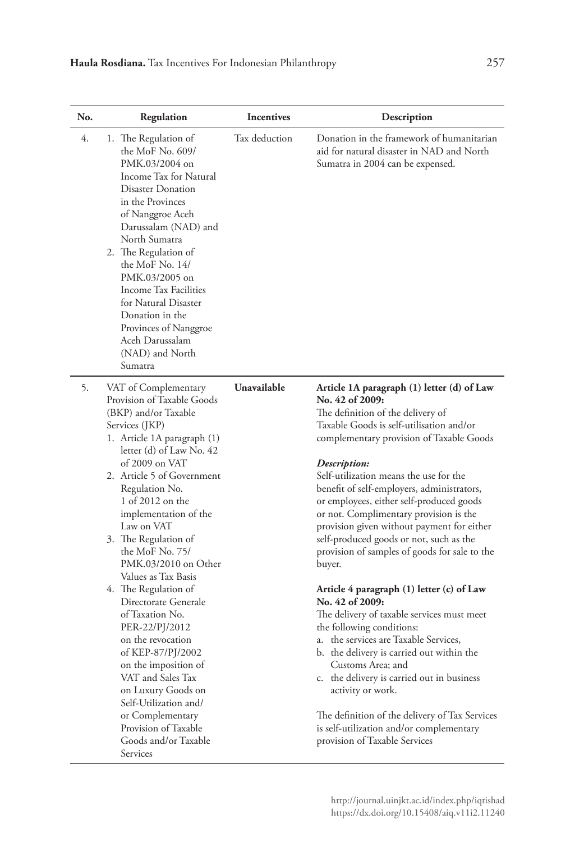| No. | Regulation                                                                                                                                                                                                                                                                                                                                                                                                                                                                                                                                                                                                                                                                                | <b>Incentives</b> | Description                                                                                                                                                                                                                                                                                                                                                                                                                                                                                                                                                                                                                                                                                                                                                                                                                                                                                                                                                                                          |
|-----|-------------------------------------------------------------------------------------------------------------------------------------------------------------------------------------------------------------------------------------------------------------------------------------------------------------------------------------------------------------------------------------------------------------------------------------------------------------------------------------------------------------------------------------------------------------------------------------------------------------------------------------------------------------------------------------------|-------------------|------------------------------------------------------------------------------------------------------------------------------------------------------------------------------------------------------------------------------------------------------------------------------------------------------------------------------------------------------------------------------------------------------------------------------------------------------------------------------------------------------------------------------------------------------------------------------------------------------------------------------------------------------------------------------------------------------------------------------------------------------------------------------------------------------------------------------------------------------------------------------------------------------------------------------------------------------------------------------------------------------|
| 4.  | 1. The Regulation of<br>the MoF No. 609/<br>PMK.03/2004 on<br>Income Tax for Natural<br>Disaster Donation<br>in the Provinces<br>of Nanggroe Aceh<br>Darussalam (NAD) and<br>North Sumatra<br>2. The Regulation of<br>the MoF No. 14/<br>PMK.03/2005 on<br>Income Tax Facilities<br>for Natural Disaster<br>Donation in the<br>Provinces of Nanggroe<br>Aceh Darussalam<br>(NAD) and North<br>Sumatra                                                                                                                                                                                                                                                                                     | Tax deduction     | Donation in the framework of humanitarian<br>aid for natural disaster in NAD and North<br>Sumatra in 2004 can be expensed.                                                                                                                                                                                                                                                                                                                                                                                                                                                                                                                                                                                                                                                                                                                                                                                                                                                                           |
| 5.  | VAT of Complementary<br>Provision of Taxable Goods<br>(BKP) and/or Taxable<br>Services (JKP)<br>1. Article 1A paragraph (1)<br>letter (d) of Law No. 42<br>of 2009 on VAT<br>2. Article 5 of Government<br>Regulation No.<br>1 of 2012 on the<br>implementation of the<br>Law on VAT<br>3. The Regulation of<br>the MoF No. 75/<br>PMK.03/2010 on Other<br>Values as Tax Basis<br>4. The Regulation of<br>Directorate Generale<br>of Taxation No.<br>PER-22/PJ/2012<br>on the revocation<br>of KEP-87/PJ/2002<br>on the imposition of<br>VAT and Sales Tax<br>on Luxury Goods on<br>Self-Utilization and/<br>or Complementary<br>Provision of Taxable<br>Goods and/or Taxable<br>Services | Unavailable       | Article 1A paragraph (1) letter (d) of Law<br>No. 42 of 2009:<br>The definition of the delivery of<br>Taxable Goods is self-utilisation and/or<br>complementary provision of Taxable Goods<br>Description:<br>Self-utilization means the use for the<br>benefit of self-employers, administrators,<br>or employees, either self-produced goods<br>or not. Complimentary provision is the<br>provision given without payment for either<br>self-produced goods or not, such as the<br>provision of samples of goods for sale to the<br>buyer.<br>Article 4 paragraph (1) letter (c) of Law<br>No. 42 of 2009:<br>The delivery of taxable services must meet<br>the following conditions:<br>a. the services are Taxable Services,<br>b. the delivery is carried out within the<br>Customs Area; and<br>c. the delivery is carried out in business<br>activity or work.<br>The definition of the delivery of Tax Services<br>is self-utilization and/or complementary<br>provision of Taxable Services |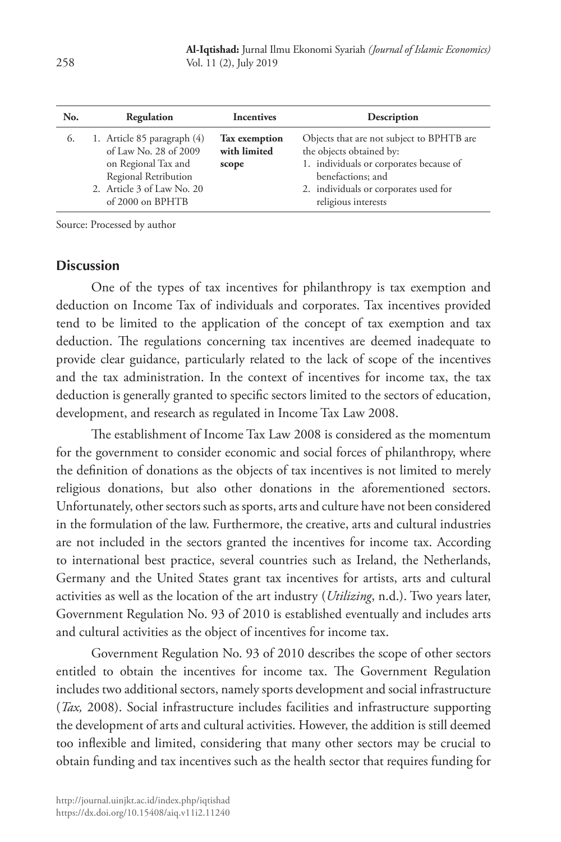| No. | Regulation                                                                                                                                            | <b>Incentives</b>                             | Description                                                                                                                                                                                           |
|-----|-------------------------------------------------------------------------------------------------------------------------------------------------------|-----------------------------------------------|-------------------------------------------------------------------------------------------------------------------------------------------------------------------------------------------------------|
| 6.  | 1. Article 85 paragraph (4)<br>of Law No. 28 of 2009<br>on Regional Tax and<br>Regional Retribution<br>2. Article 3 of Law No. 20<br>of 2000 on BPHTB | <b>Tax</b> exemption<br>with limited<br>scope | Objects that are not subject to BPHTB are<br>the objects obtained by:<br>1. individuals or corporates because of<br>benefactions; and<br>2. individuals or corporates used for<br>religious interests |

Source: Processed by author

## **Discussion**

One of the types of tax incentives for philanthropy is tax exemption and deduction on Income Tax of individuals and corporates. Tax incentives provided tend to be limited to the application of the concept of tax exemption and tax deduction. The regulations concerning tax incentives are deemed inadequate to provide clear guidance, particularly related to the lack of scope of the incentives and the tax administration. In the context of incentives for income tax, the tax deduction is generally granted to specific sectors limited to the sectors of education, development, and research as regulated in Income Tax Law 2008.

The establishment of Income Tax Law 2008 is considered as the momentum for the government to consider economic and social forces of philanthropy, where the definition of donations as the objects of tax incentives is not limited to merely religious donations, but also other donations in the aforementioned sectors. Unfortunately, other sectors such as sports, arts and culture have not been considered in the formulation of the law. Furthermore, the creative, arts and cultural industries are not included in the sectors granted the incentives for income tax. According to international best practice, several countries such as Ireland, the Netherlands, Germany and the United States grant tax incentives for artists, arts and cultural activities as well as the location of the art industry (*Utilizing*, n.d.). Two years later, Government Regulation No. 93 of 2010 is established eventually and includes arts and cultural activities as the object of incentives for income tax.

Government Regulation No. 93 of 2010 describes the scope of other sectors entitled to obtain the incentives for income tax. The Government Regulation includes two additional sectors, namely sports development and social infrastructure (*Tax,* 2008). Social infrastructure includes facilities and infrastructure supporting the development of arts and cultural activities. However, the addition is still deemed too inflexible and limited, considering that many other sectors may be crucial to obtain funding and tax incentives such as the health sector that requires funding for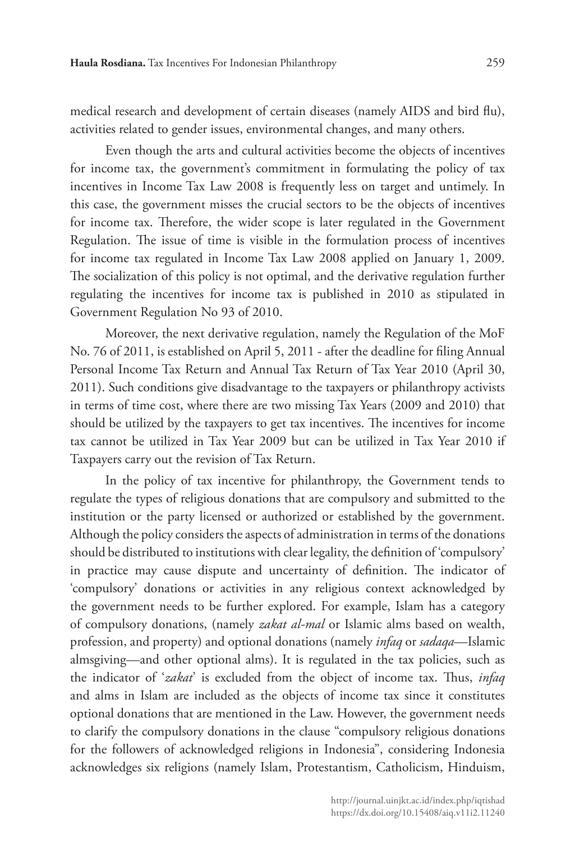medical research and development of certain diseases (namely AIDS and bird flu), activities related to gender issues, environmental changes, and many others.

Even though the arts and cultural activities become the objects of incentives for income tax, the government's commitment in formulating the policy of tax incentives in Income Tax Law 2008 is frequently less on target and untimely. In this case, the government misses the crucial sectors to be the objects of incentives for income tax. Therefore, the wider scope is later regulated in the Government Regulation. The issue of time is visible in the formulation process of incentives for income tax regulated in Income Tax Law 2008 applied on January 1, 2009. The socialization of this policy is not optimal, and the derivative regulation further regulating the incentives for income tax is published in 2010 as stipulated in Government Regulation No 93 of 2010.

Moreover, the next derivative regulation, namely the Regulation of the MoF No. 76 of 2011, is established on April 5, 2011 - after the deadline for filing Annual Personal Income Tax Return and Annual Tax Return of Tax Year 2010 (April 30, 2011). Such conditions give disadvantage to the taxpayers or philanthropy activists in terms of time cost, where there are two missing Tax Years (2009 and 2010) that should be utilized by the taxpayers to get tax incentives. The incentives for income tax cannot be utilized in Tax Year 2009 but can be utilized in Tax Year 2010 if Taxpayers carry out the revision of Tax Return.

In the policy of tax incentive for philanthropy, the Government tends to regulate the types of religious donations that are compulsory and submitted to the institution or the party licensed or authorized or established by the government. Although the policy considers the aspects of administration in terms of the donations should be distributed to institutions with clear legality, the definition of 'compulsory' in practice may cause dispute and uncertainty of definition. The indicator of 'compulsory' donations or activities in any religious context acknowledged by the government needs to be further explored. For example, Islam has a category of compulsory donations, (namely *zakat al-mal* or Islamic alms based on wealth, profession, and property) and optional donations (namely *infaq* or *sadaqa*—Islamic almsgiving—and other optional alms). It is regulated in the tax policies, such as the indicator of '*zakat*' is excluded from the object of income tax. Thus, *infaq* and alms in Islam are included as the objects of income tax since it constitutes optional donations that are mentioned in the Law. However, the government needs to clarify the compulsory donations in the clause "compulsory religious donations for the followers of acknowledged religions in Indonesia", considering Indonesia acknowledges six religions (namely Islam, Protestantism, Catholicism, Hinduism,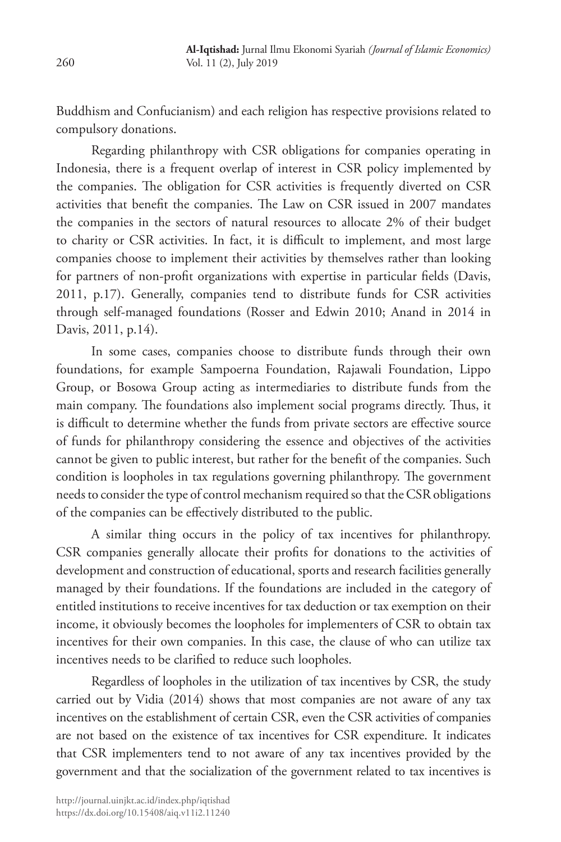Buddhism and Confucianism) and each religion has respective provisions related to compulsory donations.

Regarding philanthropy with CSR obligations for companies operating in Indonesia, there is a frequent overlap of interest in CSR policy implemented by the companies. The obligation for CSR activities is frequently diverted on CSR activities that benefit the companies. The Law on CSR issued in 2007 mandates the companies in the sectors of natural resources to allocate 2% of their budget to charity or CSR activities. In fact, it is difficult to implement, and most large companies choose to implement their activities by themselves rather than looking for partners of non-profit organizations with expertise in particular fields (Davis, 2011, p.17). Generally, companies tend to distribute funds for CSR activities through self-managed foundations (Rosser and Edwin 2010; Anand in 2014 in Davis, 2011, p.14).

In some cases, companies choose to distribute funds through their own foundations, for example Sampoerna Foundation, Rajawali Foundation, Lippo Group, or Bosowa Group acting as intermediaries to distribute funds from the main company. The foundations also implement social programs directly. Thus, it is difficult to determine whether the funds from private sectors are effective source of funds for philanthropy considering the essence and objectives of the activities cannot be given to public interest, but rather for the benefit of the companies. Such condition is loopholes in tax regulations governing philanthropy. The government needs to consider the type of control mechanism required so that the CSR obligations of the companies can be effectively distributed to the public.

A similar thing occurs in the policy of tax incentives for philanthropy. CSR companies generally allocate their profits for donations to the activities of development and construction of educational, sports and research facilities generally managed by their foundations. If the foundations are included in the category of entitled institutions to receive incentives for tax deduction or tax exemption on their income, it obviously becomes the loopholes for implementers of CSR to obtain tax incentives for their own companies. In this case, the clause of who can utilize tax incentives needs to be clarified to reduce such loopholes.

Regardless of loopholes in the utilization of tax incentives by CSR, the study carried out by Vidia (2014) shows that most companies are not aware of any tax incentives on the establishment of certain CSR, even the CSR activities of companies are not based on the existence of tax incentives for CSR expenditure. It indicates that CSR implementers tend to not aware of any tax incentives provided by the government and that the socialization of the government related to tax incentives is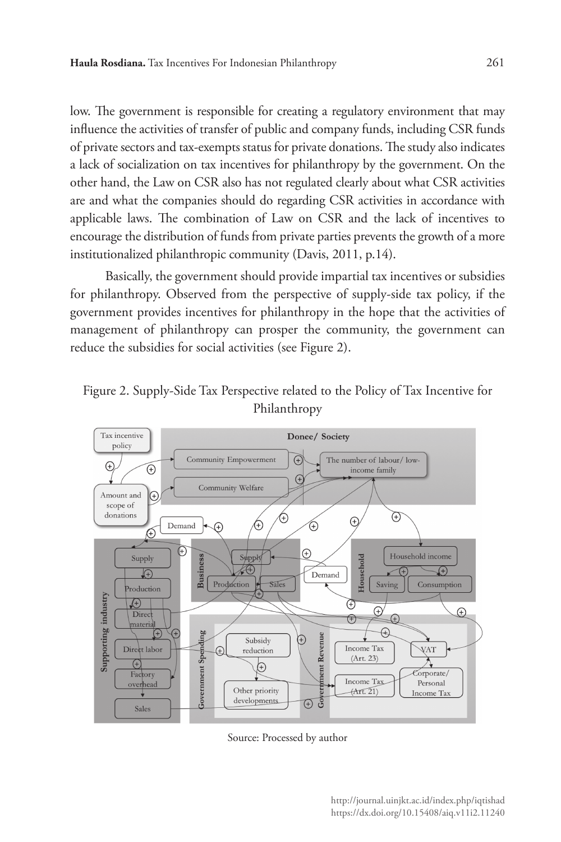low. The government is responsible for creating a regulatory environment that may influence the activities of transfer of public and company funds, including CSR funds of private sectors and tax-exempts status for private donations. The study also indicates a lack of socialization on tax incentives for philanthropy by the government. On the other hand, the Law on CSR also has not regulated clearly about what CSR activities are and what the companies should do regarding CSR activities in accordance with applicable laws. The combination of Law on CSR and the lack of incentives to encourage the distribution of funds from private parties prevents the growth of a more institutionalized philanthropic community (Davis, 2011, p.14).

Basically, the government should provide impartial tax incentives or subsidies for philanthropy. Observed from the perspective of supply-side tax policy, if the government provides incentives for philanthropy in the hope that the activities of management of philanthropy can prosper the community, the government can reduce the subsidies for social activities (see Figure 2).





Source: Processed by author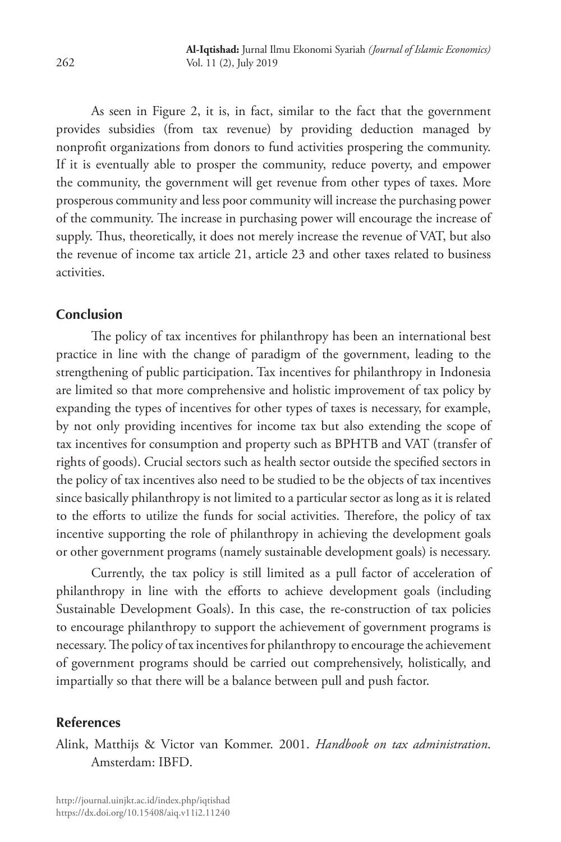As seen in Figure 2, it is, in fact, similar to the fact that the government provides subsidies (from tax revenue) by providing deduction managed by nonprofit organizations from donors to fund activities prospering the community. If it is eventually able to prosper the community, reduce poverty, and empower the community, the government will get revenue from other types of taxes. More prosperous community and less poor community will increase the purchasing power of the community. The increase in purchasing power will encourage the increase of supply. Thus, theoretically, it does not merely increase the revenue of VAT, but also the revenue of income tax article 21, article 23 and other taxes related to business activities.

## **Conclusion**

The policy of tax incentives for philanthropy has been an international best practice in line with the change of paradigm of the government, leading to the strengthening of public participation. Tax incentives for philanthropy in Indonesia are limited so that more comprehensive and holistic improvement of tax policy by expanding the types of incentives for other types of taxes is necessary, for example, by not only providing incentives for income tax but also extending the scope of tax incentives for consumption and property such as BPHTB and VAT (transfer of rights of goods). Crucial sectors such as health sector outside the specified sectors in the policy of tax incentives also need to be studied to be the objects of tax incentives since basically philanthropy is not limited to a particular sector as long as it is related to the efforts to utilize the funds for social activities. Therefore, the policy of tax incentive supporting the role of philanthropy in achieving the development goals or other government programs (namely sustainable development goals) is necessary.

Currently, the tax policy is still limited as a pull factor of acceleration of philanthropy in line with the efforts to achieve development goals (including Sustainable Development Goals). In this case, the re-construction of tax policies to encourage philanthropy to support the achievement of government programs is necessary. The policy of tax incentives for philanthropy to encourage the achievement of government programs should be carried out comprehensively, holistically, and impartially so that there will be a balance between pull and push factor.

## **References**

Alink, Matthijs & Victor van Kommer. 2001. *Handbook on tax administration*. Amsterdam: IBFD.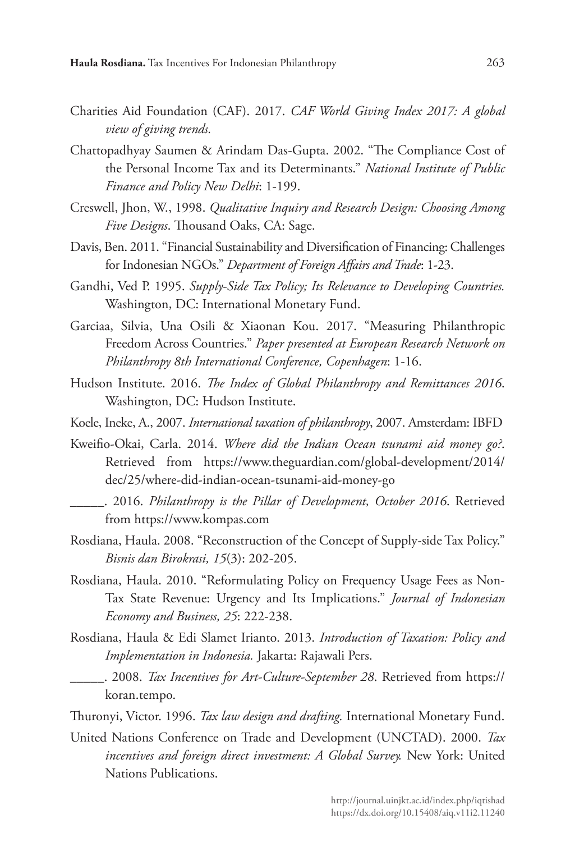- Charities Aid Foundation (CAF). 2017. *CAF World Giving Index 2017: A global view of giving trends.*
- Chattopadhyay Saumen & Arindam Das-Gupta. 2002. "The Compliance Cost of the Personal Income Tax and its Determinants." *National Institute of Public Finance and Policy New Delhi*: 1-199.
- Creswell, Jhon, W., 1998. *Qualitative Inquiry and Research Design: Choosing Among Five Designs*. Thousand Oaks, CA: Sage.
- Davis, Ben. 2011. "Financial Sustainability and Diversification of Financing: Challenges for Indonesian NGOs." *Department of Foreign Affairs and Trade*: 1-23.
- Gandhi, Ved P. 1995. *Supply-Side Tax Policy; Its Relevance to Developing Countries.* Washington, DC: International Monetary Fund.
- Garciaa, Silvia, Una Osili & Xiaonan Kou. 2017. "Measuring Philanthropic Freedom Across Countries." *Paper presented at European Research Network on Philanthropy 8th International Conference, Copenhagen*: 1-16.
- Hudson Institute. 2016. *The Index of Global Philanthropy and Remittances 2016*. Washington, DC: Hudson Institute.
- Koele, Ineke, A., 2007. *International taxation of philanthropy*, 2007. Amsterdam: IBFD
- Kweifio-Okai, Carla. 2014. *Where did the Indian Ocean tsunami aid money go?*. Retrieved from https://www.theguardian.com/global-development/2014/ dec/25/where-did-indian-ocean-tsunami-aid-money-go
	- \_\_\_\_\_. 2016. *Philanthropy is the Pillar of Development, October 2016*. Retrieved from https://www.kompas.com
- Rosdiana, Haula. 2008. "Reconstruction of the Concept of Supply-side Tax Policy." *Bisnis dan Birokrasi, 15*(3): 202-205.
- Rosdiana, Haula. 2010. "Reformulating Policy on Frequency Usage Fees as Non-Tax State Revenue: Urgency and Its Implications." *Journal of Indonesian Economy and Business, 25*: 222-238.
- Rosdiana, Haula & Edi Slamet Irianto. 2013. *Introduction of Taxation: Policy and Implementation in Indonesia.* Jakarta: Rajawali Pers.
- \_\_\_\_\_. 2008. *Tax Incentives for Art-Culture-September 28*. Retrieved from https:// koran.tempo.

Thuronyi, Victor. 1996. *Tax law design and drafting.* International Monetary Fund.

United Nations Conference on Trade and Development (UNCTAD). 2000. *Tax incentives and foreign direct investment: A Global Survey.* New York: United Nations Publications.